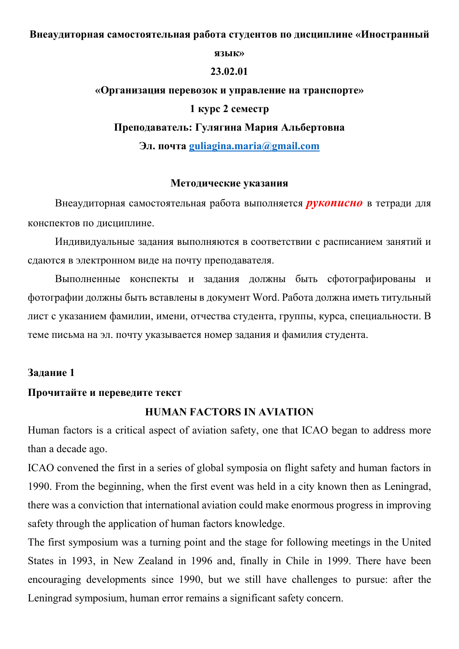#### Внеаудиторная самостоятельная работа студентов по дисциплине «Иностранный

#### язык»

#### 23.02.01

# «Организация перевозок и управление на транспорте» 1 курс 2 семестр Преподаватель: Гулягина Мария Альбертовна

Эл. почта guliagina.maria@gmail.com

### Методические указания

Внеаудиторная самостоятельная работа выполняется **рукописно** в тетради для конспектов по дисциплине.

Индивидуальные задания выполняются в соответствии с расписанием занятий и сдаются в электронном виде на почту преподавателя.

Выполненные конспекты и задания должны быть сфотографированы и фотографии должны быть вставлены в документ Word. Работа должна иметь титульный лист с указанием фамилии, имени, отчества студента, группы, курса, специальности. В теме письма на эл. почту указывается номер задания и фамилия студента.

## Задание 1

## Прочитайте и переведите текст

# HUMAN FACTORS IN AVIATION

Human factors is a critical aspect of aviation safety, one that ICAO began to address more than a decade ago.

ICAO convened the first in a series of global symposia on flight safety and human factors in 1990. From the beginning, when the first event was held in a city known then as Leningrad, there was a conviction that international aviation could make enormous progress in improving safety through the application of human factors knowledge.

The first symposium was a turning point and the stage for following meetings in the United States in 1993, in New Zealand in 1996 and, finally in Chile in 1999. There have been encouraging developments since 1990, but we still have challenges to pursue: after the Leningrad symposium, human error remains a significant safety concern.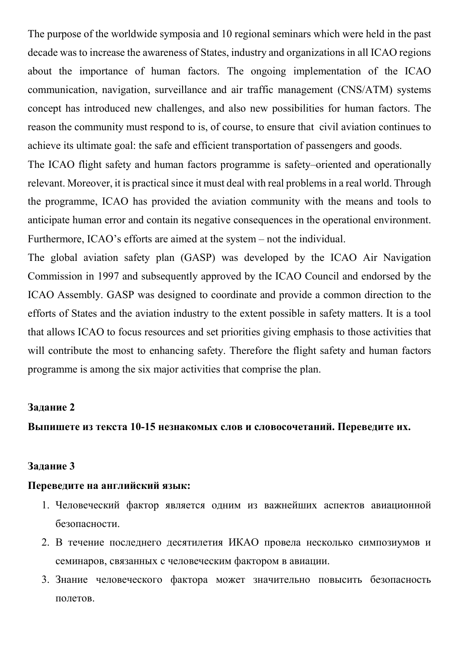The purpose of the worldwide symposia and 10 regional seminars which were held in the past decade was to increase the awareness of States, industry and organizations in all ICAO regions about the importance of human factors. The ongoing implementation of the ICAO communication, navigation, surveillance and air traffic management (CNS/ATM) systems concept has introduced new challenges, and also new possibilities for human factors. The reason the community must respond to is, of course, to ensure that civil aviation continues to achieve its ultimate goal: the safe and efficient transportation of passengers and goods.

The ICAO flight safety and human factors programme is safety–oriented and operationally relevant. Moreover, it is practical since it must deal with real problems in a real world. Through the programme, ICAO has provided the aviation community with the means and tools to anticipate human error and contain its negative consequences in the operational environment. Furthermore, ICAO's efforts are aimed at the system – not the individual.

The global aviation safety plan (GASP) was developed by the ICAO Air Navigation Commission in 1997 and subsequently approved by the ICAO Council and endorsed by the ICAO Assembly. GASP was designed to coordinate and provide a common direction to the efforts of States and the aviation industry to the extent possible in safety matters. It is a tool that allows ICAO to focus resources and set priorities giving emphasis to those activities that will contribute the most to enhancing safety. Therefore the flight safety and human factors programme is among the six major activities that comprise the plan.

#### Задание 2

# Выпишете из текста 10-15 незнакомых слов и словосочетаний. Переведите их.

#### Задание 3

## Переведите на английский язык:

- 1. Человеческий фактор является одним из важнейших аспектов авиационной безопасности.
- 2. В течение последнего десятилетия ИКАО провела несколько симпозиумов и семинаров, связанных с человеческим фактором в авиации.
- 3. Знание человеческого фактора может значительно повысить безопасность полетов.